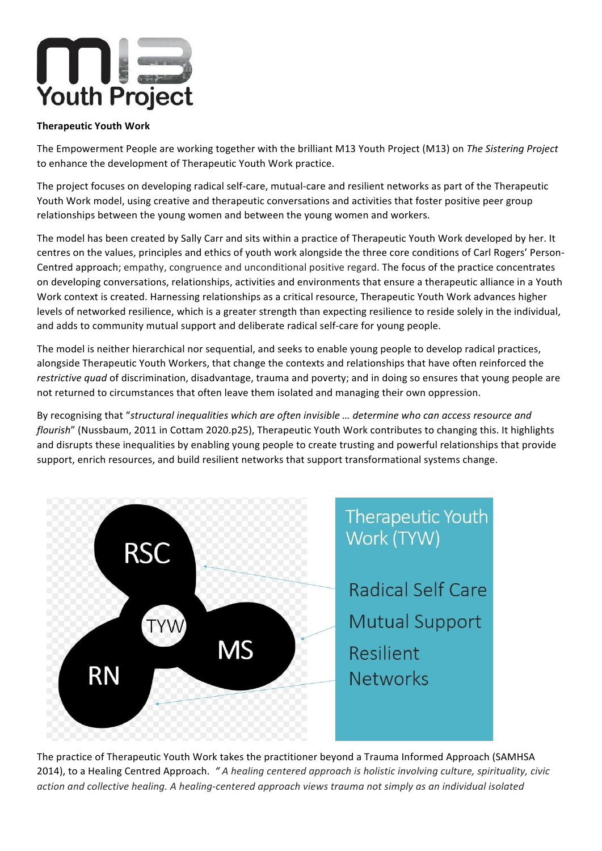

## **Therapeutic Youth Work**

The Empowerment People are working together with the brilliant M13 Youth Project (M13) on The Sistering Project to enhance the development of Therapeutic Youth Work practice.

The project focuses on developing radical self-care, mutual-care and resilient networks as part of the Therapeutic Youth Work model, using creative and therapeutic conversations and activities that foster positive peer group relationships between the young women and between the young women and workers.

The model has been created by Sally Carr and sits within a practice of Therapeutic Youth Work developed by her. It centres on the values, principles and ethics of youth work alongside the three core conditions of Carl Rogers' Person-Centred approach; empathy, congruence and unconditional positive regard. The focus of the practice concentrates on developing conversations, relationships, activities and environments that ensure a therapeutic alliance in a Youth Work context is created. Harnessing relationships as a critical resource, Therapeutic Youth Work advances higher levels of networked resilience, which is a greater strength than expecting resilience to reside solely in the individual, and adds to community mutual support and deliberate radical self-care for young people.

The model is neither hierarchical nor sequential, and seeks to enable young people to develop radical practices, alongside Therapeutic Youth Workers, that change the contexts and relationships that have often reinforced the *restrictive quad* of discrimination, disadvantage, trauma and poverty; and in doing so ensures that young people are not returned to circumstances that often leave them isolated and managing their own oppression.

By recognising that "structural inequalities which are often invisible ... determine who can access resource and *flourish*" (Nussbaum, 2011 in Cottam 2020.p25), Therapeutic Youth Work contributes to changing this. It highlights and disrupts these inequalities by enabling young people to create trusting and powerful relationships that provide support, enrich resources, and build resilient networks that support transformational systems change.



The practice of Therapeutic Youth Work takes the practitioner beyond a Trauma Informed Approach (SAMHSA 2014), to a Healing Centred Approach. " A healing centered approach is holistic involving culture, spirituality, civic action and collective healing. A healing-centered approach views trauma not simply as an individual isolated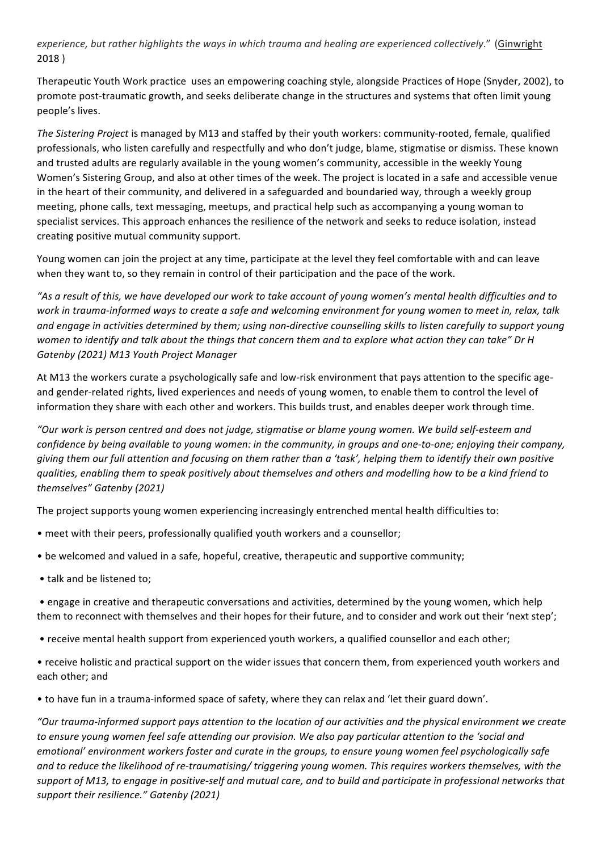experience, but rather highlights the ways in which trauma and healing are experienced collectively." (Ginwright 2018 )

Therapeutic Youth Work practice uses an empowering coaching style, alongside Practices of Hope (Snyder, 2002), to promote post-traumatic growth, and seeks deliberate change in the structures and systems that often limit young people's lives.

The Sistering Project is managed by M13 and staffed by their youth workers: community-rooted, female, qualified professionals, who listen carefully and respectfully and who don't judge, blame, stigmatise or dismiss. These known and trusted adults are regularly available in the young women's community, accessible in the weekly Young Women's Sistering Group, and also at other times of the week. The project is located in a safe and accessible venue in the heart of their community, and delivered in a safeguarded and boundaried way, through a weekly group meeting, phone calls, text messaging, meetups, and practical help such as accompanying a young woman to specialist services. This approach enhances the resilience of the network and seeks to reduce isolation, instead creating positive mutual community support.

Young women can join the project at any time, participate at the level they feel comfortable with and can leave when they want to, so they remain in control of their participation and the pace of the work.

"As a result of this, we have developed our work to take account of young women's mental health difficulties and to work in trauma-informed ways to create a safe and welcoming environment for young women to meet in, relax, talk and engage in activities determined by them; using non-directive counselling skills to listen carefully to support young women to identify and talk about the things that concern them and to explore what action they can take" Dr H Gatenby (2021) M13 Youth Project Manager

At M13 the workers curate a psychologically safe and low-risk environment that pays attention to the specific ageand gender-related rights, lived experiences and needs of young women, to enable them to control the level of information they share with each other and workers. This builds trust, and enables deeper work through time.

*"Our work is person centred and does not judge, stigmatise or blame young women. We build self-esteem and confidence by being available to young women: in the community, in groups and one-to-one; enjoying their company, giving* them our full attention and focusing on them rather than a 'task', helping them to identify their own positive *qualities, enabling them to speak positively about themselves and others and modelling how to be a kind friend to themselves" Gatenby (2021)*

The project supports young women experiencing increasingly entrenched mental health difficulties to:

- meet with their peers, professionally qualified youth workers and a counsellor;
- be welcomed and valued in a safe, hopeful, creative, therapeutic and supportive community;
- talk and be listened to;

• engage in creative and therapeutic conversations and activities, determined by the young women, which help them to reconnect with themselves and their hopes for their future, and to consider and work out their 'next step';

• receive mental health support from experienced youth workers, a qualified counsellor and each other;

• receive holistic and practical support on the wider issues that concern them, from experienced youth workers and each other; and

• to have fun in a trauma-informed space of safety, where they can relax and 'let their guard down'.

"Our trauma-informed support pays attention to the location of our activities and the physical environment we create to ensure young women feel safe attending our provision. We also pay particular attention to the 'social and *emotional'* environment workers foster and curate in the groups, to ensure young women feel psychologically safe and to reduce the likelihood of re-traumatising/ triggering young women. This requires workers themselves, with the support of M13, to engage in positive-self and mutual care, and to build and participate in professional networks that support their resilience." Gatenby (2021)